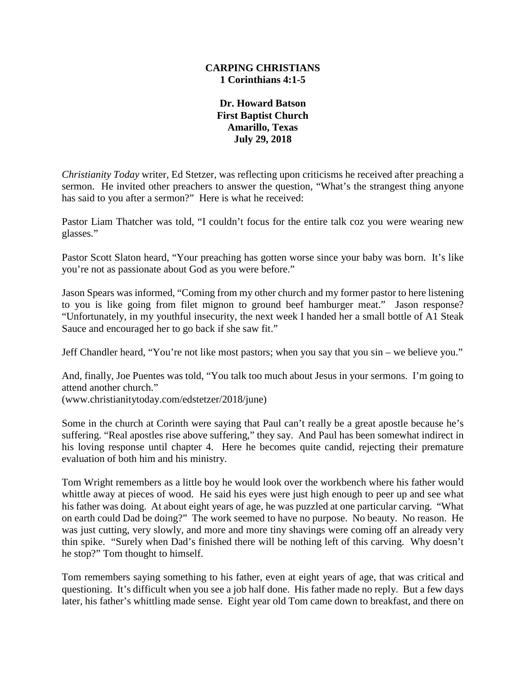### **CARPING CHRISTIANS 1 Corinthians 4:1-5**

**Dr. Howard Batson First Baptist Church Amarillo, Texas July 29, 2018**

*Christianity Today* writer, Ed Stetzer, was reflecting upon criticisms he received after preaching a sermon. He invited other preachers to answer the question, "What's the strangest thing anyone has said to you after a sermon?" Here is what he received:

Pastor Liam Thatcher was told, "I couldn't focus for the entire talk coz you were wearing new glasses."

Pastor Scott Slaton heard, "Your preaching has gotten worse since your baby was born. It's like you're not as passionate about God as you were before."

Jason Spears was informed, "Coming from my other church and my former pastor to here listening to you is like going from filet mignon to ground beef hamburger meat." Jason response? "Unfortunately, in my youthful insecurity, the next week I handed her a small bottle of A1 Steak Sauce and encouraged her to go back if she saw fit."

Jeff Chandler heard, "You're not like most pastors; when you say that you sin – we believe you."

And, finally, Joe Puentes was told, "You talk too much about Jesus in your sermons. I'm going to attend another church."

(www.christianitytoday.com/edstetzer/2018/june)

Some in the church at Corinth were saying that Paul can't really be a great apostle because he's suffering. "Real apostles rise above suffering," they say. And Paul has been somewhat indirect in his loving response until chapter 4. Here he becomes quite candid, rejecting their premature evaluation of both him and his ministry.

Tom Wright remembers as a little boy he would look over the workbench where his father would whittle away at pieces of wood. He said his eyes were just high enough to peer up and see what his father was doing. At about eight years of age, he was puzzled at one particular carving. "What on earth could Dad be doing?" The work seemed to have no purpose. No beauty. No reason. He was just cutting, very slowly, and more and more tiny shavings were coming off an already very thin spike. "Surely when Dad's finished there will be nothing left of this carving. Why doesn't he stop?" Tom thought to himself.

Tom remembers saying something to his father, even at eight years of age, that was critical and questioning. It's difficult when you see a job half done. His father made no reply. But a few days later, his father's whittling made sense. Eight year old Tom came down to breakfast, and there on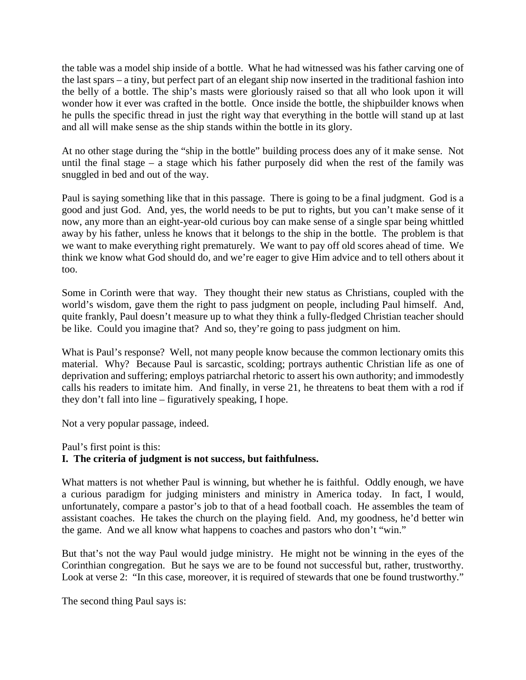the table was a model ship inside of a bottle. What he had witnessed was his father carving one of the last spars – a tiny, but perfect part of an elegant ship now inserted in the traditional fashion into the belly of a bottle. The ship's masts were gloriously raised so that all who look upon it will wonder how it ever was crafted in the bottle. Once inside the bottle, the shipbuilder knows when he pulls the specific thread in just the right way that everything in the bottle will stand up at last and all will make sense as the ship stands within the bottle in its glory.

At no other stage during the "ship in the bottle" building process does any of it make sense. Not until the final stage – a stage which his father purposely did when the rest of the family was snuggled in bed and out of the way.

Paul is saying something like that in this passage. There is going to be a final judgment. God is a good and just God. And, yes, the world needs to be put to rights, but you can't make sense of it now, any more than an eight-year-old curious boy can make sense of a single spar being whittled away by his father, unless he knows that it belongs to the ship in the bottle. The problem is that we want to make everything right prematurely. We want to pay off old scores ahead of time. We think we know what God should do, and we're eager to give Him advice and to tell others about it too.

Some in Corinth were that way. They thought their new status as Christians, coupled with the world's wisdom, gave them the right to pass judgment on people, including Paul himself. And, quite frankly, Paul doesn't measure up to what they think a fully-fledged Christian teacher should be like. Could you imagine that? And so, they're going to pass judgment on him.

What is Paul's response? Well, not many people know because the common lectionary omits this material. Why? Because Paul is sarcastic, scolding; portrays authentic Christian life as one of deprivation and suffering; employs patriarchal rhetoric to assert his own authority; and immodestly calls his readers to imitate him. And finally, in verse 21, he threatens to beat them with a rod if they don't fall into line – figuratively speaking, I hope.

Not a very popular passage, indeed.

Paul's first point is this:

# **I. The criteria of judgment is not success, but faithfulness.**

What matters is not whether Paul is winning, but whether he is faithful. Oddly enough, we have a curious paradigm for judging ministers and ministry in America today. In fact, I would, unfortunately, compare a pastor's job to that of a head football coach. He assembles the team of assistant coaches. He takes the church on the playing field. And, my goodness, he'd better win the game. And we all know what happens to coaches and pastors who don't "win."

But that's not the way Paul would judge ministry. He might not be winning in the eyes of the Corinthian congregation. But he says we are to be found not successful but, rather, trustworthy. Look at verse 2: "In this case, moreover, it is required of stewards that one be found trustworthy."

The second thing Paul says is: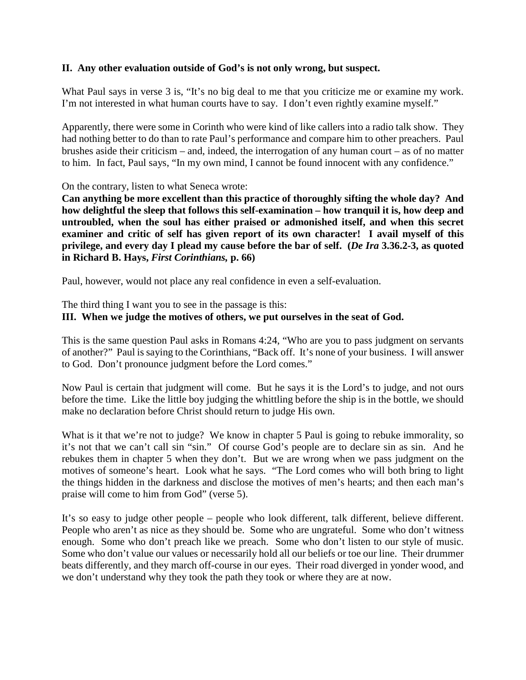## **II. Any other evaluation outside of God's is not only wrong, but suspect.**

What Paul says in verse 3 is, "It's no big deal to me that you criticize me or examine my work. I'm not interested in what human courts have to say. I don't even rightly examine myself."

Apparently, there were some in Corinth who were kind of like callers into a radio talk show. They had nothing better to do than to rate Paul's performance and compare him to other preachers. Paul brushes aside their criticism – and, indeed, the interrogation of any human court – as of no matter to him. In fact, Paul says, "In my own mind, I cannot be found innocent with any confidence."

On the contrary, listen to what Seneca wrote:

**Can anything be more excellent than this practice of thoroughly sifting the whole day? And how delightful the sleep that follows this self-examination – how tranquil it is, how deep and untroubled, when the soul has either praised or admonished itself, and when this secret examiner and critic of self has given report of its own character! I avail myself of this privilege, and every day I plead my cause before the bar of self. (***De Ira* **3.36.2-3, as quoted in Richard B. Hays,** *First Corinthians,* **p. 66)**

Paul, however, would not place any real confidence in even a self-evaluation.

The third thing I want you to see in the passage is this:

### **III. When we judge the motives of others, we put ourselves in the seat of God.**

This is the same question Paul asks in Romans 4:24, "Who are you to pass judgment on servants of another?" Paul is saying to the Corinthians, "Back off. It's none of your business. I will answer to God. Don't pronounce judgment before the Lord comes."

Now Paul is certain that judgment will come. But he says it is the Lord's to judge, and not ours before the time. Like the little boy judging the whittling before the ship is in the bottle, we should make no declaration before Christ should return to judge His own.

What is it that we're not to judge? We know in chapter 5 Paul is going to rebuke immorality, so it's not that we can't call sin "sin." Of course God's people are to declare sin as sin. And he rebukes them in chapter 5 when they don't. But we are wrong when we pass judgment on the motives of someone's heart. Look what he says. "The Lord comes who will both bring to light the things hidden in the darkness and disclose the motives of men's hearts; and then each man's praise will come to him from God" (verse 5).

It's so easy to judge other people – people who look different, talk different, believe different. People who aren't as nice as they should be. Some who are ungrateful. Some who don't witness enough. Some who don't preach like we preach. Some who don't listen to our style of music. Some who don't value our values or necessarily hold all our beliefs or toe our line. Their drummer beats differently, and they march off-course in our eyes. Their road diverged in yonder wood, and we don't understand why they took the path they took or where they are at now.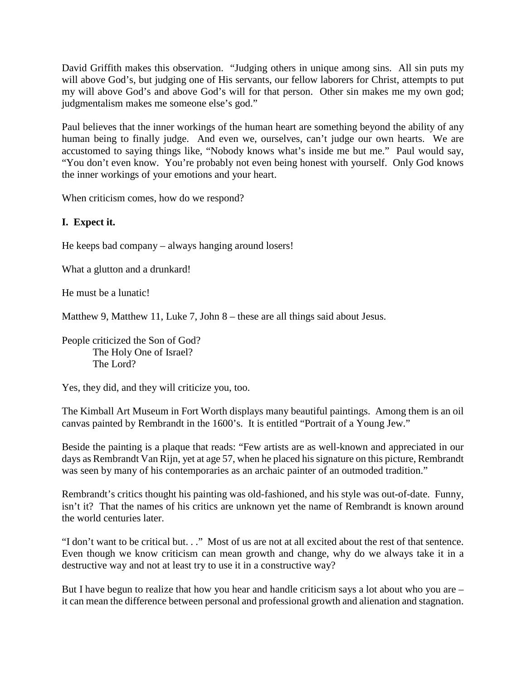David Griffith makes this observation. "Judging others in unique among sins. All sin puts my will above God's, but judging one of His servants, our fellow laborers for Christ, attempts to put my will above God's and above God's will for that person. Other sin makes me my own god; judgmentalism makes me someone else's god."

Paul believes that the inner workings of the human heart are something beyond the ability of any human being to finally judge. And even we, ourselves, can't judge our own hearts. We are accustomed to saying things like, "Nobody knows what's inside me but me." Paul would say, "You don't even know. You're probably not even being honest with yourself. Only God knows the inner workings of your emotions and your heart.

When criticism comes, how do we respond?

# **I. Expect it.**

He keeps bad company – always hanging around losers!

What a glutton and a drunkard!

He must be a lunatic!

Matthew 9, Matthew 11, Luke 7, John 8 – these are all things said about Jesus.

People criticized the Son of God? The Holy One of Israel? The Lord?

Yes, they did, and they will criticize you, too.

The Kimball Art Museum in Fort Worth displays many beautiful paintings. Among them is an oil canvas painted by Rembrandt in the 1600's. It is entitled "Portrait of a Young Jew."

Beside the painting is a plaque that reads: "Few artists are as well-known and appreciated in our days as Rembrandt Van Rijn, yet at age 57, when he placed his signature on this picture, Rembrandt was seen by many of his contemporaries as an archaic painter of an outmoded tradition."

Rembrandt's critics thought his painting was old-fashioned, and his style was out-of-date. Funny, isn't it? That the names of his critics are unknown yet the name of Rembrandt is known around the world centuries later.

"I don't want to be critical but. . ." Most of us are not at all excited about the rest of that sentence. Even though we know criticism can mean growth and change, why do we always take it in a destructive way and not at least try to use it in a constructive way?

But I have begun to realize that how you hear and handle criticism says a lot about who you are – it can mean the difference between personal and professional growth and alienation and stagnation.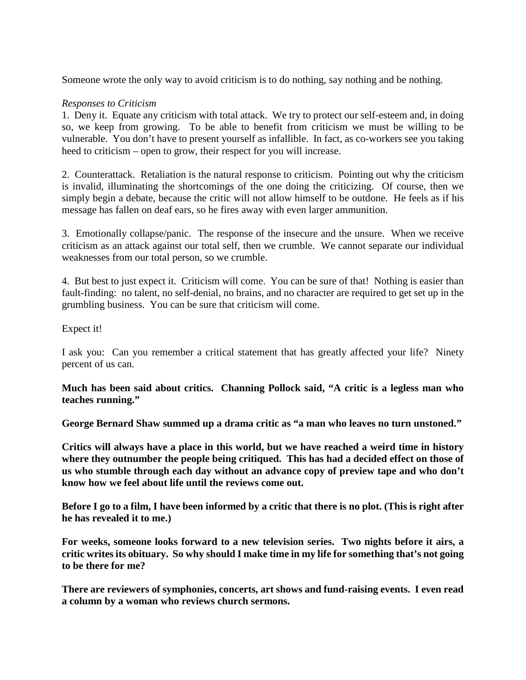Someone wrote the only way to avoid criticism is to do nothing, say nothing and be nothing.

## *Responses to Criticism*

1. Deny it. Equate any criticism with total attack. We try to protect our self-esteem and, in doing so, we keep from growing. To be able to benefit from criticism we must be willing to be vulnerable. You don't have to present yourself as infallible. In fact, as co-workers see you taking heed to criticism – open to grow, their respect for you will increase.

2. Counterattack. Retaliation is the natural response to criticism. Pointing out why the criticism is invalid, illuminating the shortcomings of the one doing the criticizing. Of course, then we simply begin a debate, because the critic will not allow himself to be outdone. He feels as if his message has fallen on deaf ears, so he fires away with even larger ammunition.

3. Emotionally collapse/panic. The response of the insecure and the unsure. When we receive criticism as an attack against our total self, then we crumble. We cannot separate our individual weaknesses from our total person, so we crumble.

4. But best to just expect it. Criticism will come. You can be sure of that! Nothing is easier than fault-finding: no talent, no self-denial, no brains, and no character are required to get set up in the grumbling business. You can be sure that criticism will come.

Expect it!

I ask you: Can you remember a critical statement that has greatly affected your life? Ninety percent of us can.

**Much has been said about critics. Channing Pollock said, "A critic is a legless man who teaches running."**

**George Bernard Shaw summed up a drama critic as "a man who leaves no turn unstoned."**

**Critics will always have a place in this world, but we have reached a weird time in history where they outnumber the people being critiqued. This has had a decided effect on those of us who stumble through each day without an advance copy of preview tape and who don't know how we feel about life until the reviews come out.**

**Before I go to a film, I have been informed by a critic that there is no plot. (This is right after he has revealed it to me.)** 

**For weeks, someone looks forward to a new television series. Two nights before it airs, a critic writes its obituary. So why should I make time in my life for something that's not going to be there for me?**

**There are reviewers of symphonies, concerts, art shows and fund-raising events. I even read a column by a woman who reviews church sermons.**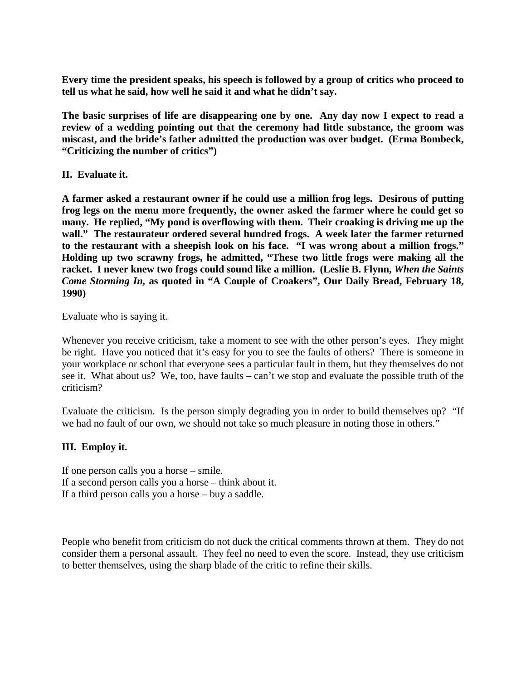**Every time the president speaks, his speech is followed by a group of critics who proceed to tell us what he said, how well he said it and what he didn't say.**

**The basic surprises of life are disappearing one by one. Any day now I expect to read a review of a wedding pointing out that the ceremony had little substance, the groom was miscast, and the bride's father admitted the production was over budget. (Erma Bombeck, "Criticizing the number of critics")**

# **II. Evaluate it.**

**A farmer asked a restaurant owner if he could use a million frog legs. Desirous of putting frog legs on the menu more frequently, the owner asked the farmer where he could get so many. He replied, "My pond is overflowing with them. Their croaking is driving me up the wall." The restaurateur ordered several hundred frogs. A week later the farmer returned to the restaurant with a sheepish look on his face. "I was wrong about a million frogs." Holding up two scrawny frogs, he admitted, "These two little frogs were making all the racket. I never knew two frogs could sound like a million. (Leslie B. Flynn,** *When the Saints Come Storming In,* **as quoted in "A Couple of Croakers", Our Daily Bread, February 18, 1990)**

Evaluate who is saying it.

Whenever you receive criticism, take a moment to see with the other person's eyes. They might be right. Have you noticed that it's easy for you to see the faults of others? There is someone in your workplace or school that everyone sees a particular fault in them, but they themselves do not see it. What about us? We, too, have faults – can't we stop and evaluate the possible truth of the criticism?

Evaluate the criticism. Is the person simply degrading you in order to build themselves up? "If we had no fault of our own, we should not take so much pleasure in noting those in others."

# **III. Employ it.**

If one person calls you a horse – smile. If a second person calls you a horse – think about it. If a third person calls you a horse – buy a saddle.

People who benefit from criticism do not duck the critical comments thrown at them. They do not consider them a personal assault. They feel no need to even the score. Instead, they use criticism to better themselves, using the sharp blade of the critic to refine their skills.